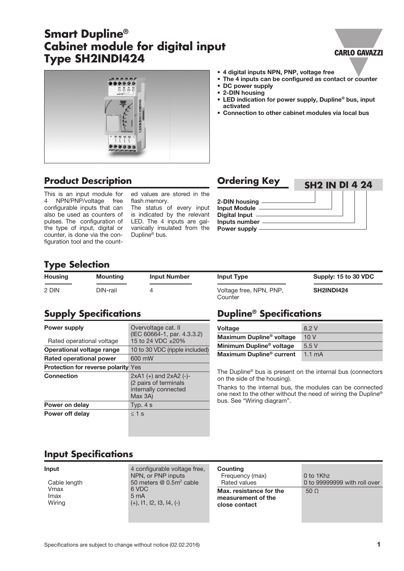# **Smart Dupline® Cabinet module for digital input Type SH2INDI424**

### **CARLO GAVAZZI**



## **Product Description**

This is an input module for 4 NPN/PNP/voltage free configurable inputs that can also be used as counters of pulses. The configuration of the type of input, digital or counter, is done via the configuration tool and the counted values are stored in the flash memory.

The status of every input is indicated by the relevant LED. The 4 inputs are galvanically insulated from the Dupline® bus.

| <b>Ordering Key</b>                                                                             | <b>SH2 IN DI 4 24</b> |  |  |
|-------------------------------------------------------------------------------------------------|-----------------------|--|--|
| 2-DIN housing ______<br><b>Input Module</b><br>Digital Input -<br>Inputs number<br>Power supply |                       |  |  |

• 4 digital inputs NPN, PNP, voltage free

• DC power supply • 2-DIN housing

activated

• The 4 inputs can be configured as contact or counter

• LED indication for power supply, Dupline® bus, input

• Connection to other cabinet modules via local bus

### **Type Selection**

| <b>Housing</b> | Mounting | <b>Input Number</b> | <b>Input Type</b>                  | Supply: 15 to 30 VDC |
|----------------|----------|---------------------|------------------------------------|----------------------|
| 2 DIN          | DIN-rail |                     | Voltage free, NPN, PNP,<br>Counter | <b>SH2INDI424</b>    |

# **Supply Specifications**

| <b>Power supply</b><br>Rated operational voltage | Overvoltage cat. II<br>(IEC 60664-1, par. 4.3.3.2)<br>15 to 24 VDC +20%                 |  |
|--------------------------------------------------|-----------------------------------------------------------------------------------------|--|
| Operational voltage range                        | 10 to 30 VDC (ripple included)                                                          |  |
| Rated operational power                          | 600 mW                                                                                  |  |
| <b>Protection for reverse polarity Yes</b>       |                                                                                         |  |
| <b>Connection</b>                                | $2xA1 (+)$ and $2xA2 (-)$ -<br>(2 pairs of terminals<br>internally connected<br>Max 3A) |  |
| Power on delay                                   | Typ. $4 s$                                                                              |  |
| <b>Power off delay</b>                           | $<$ 1 s                                                                                 |  |

## **Dupline® Specifications**

| <b>Voltage</b>                       | 8.2 V            |
|--------------------------------------|------------------|
| Maximum Dupline <sup>®</sup> voltage | 10V              |
| Minimum Dupline <sup>®</sup> voltage | 5.5V             |
| Maximum Dupline <sup>®</sup> current | $1.1 \text{ mA}$ |

The Dupline® bus is present on the internal bus (connectors on the side of the housing).

Thanks to the internal bus, the modules can be connected one next to the other without the need of wiring the Dupline® bus. See "Wiring diagram".

### **Input Specifications**

| Cable lengt |  |
|-------------|--|
| Vmax        |  |
| Imax        |  |
| Wiring      |  |

**Input** 4 configurable voltage free. NPN, or PNP inputs  $\mu$  50 meters @ 0.5m<sup>2</sup> cable 6 VDC  $5<sub>mA</sub>$ Wiring (+), I1, I2, I3, I4, (-)

| Counting<br>Frequency (max)<br>Rated values                    | 0 to 1Khz<br>0 to 99999999 with roll over |
|----------------------------------------------------------------|-------------------------------------------|
| Max. resistance for the<br>measurement of the<br>close contact | 50 <sub>o</sub>                           |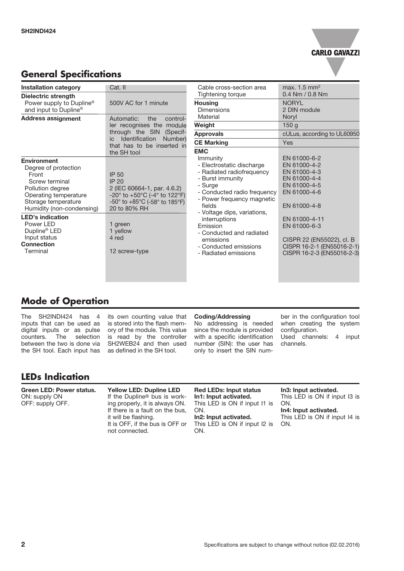

### **General Specifications**

| <b>Installation category</b>                                                                                                                                                                                                                                                                | Cat. II                                                                                                                                                                                                                                                                   | Cable cross-section area                                                                                                                                                                                                                                                                                                                     | max. $1.5 \text{ mm}^2$                                                                                                                                                                                                                |
|---------------------------------------------------------------------------------------------------------------------------------------------------------------------------------------------------------------------------------------------------------------------------------------------|---------------------------------------------------------------------------------------------------------------------------------------------------------------------------------------------------------------------------------------------------------------------------|----------------------------------------------------------------------------------------------------------------------------------------------------------------------------------------------------------------------------------------------------------------------------------------------------------------------------------------------|----------------------------------------------------------------------------------------------------------------------------------------------------------------------------------------------------------------------------------------|
| Dielectric strength                                                                                                                                                                                                                                                                         |                                                                                                                                                                                                                                                                           | Tightening torque                                                                                                                                                                                                                                                                                                                            | $0.4$ Nm $/$ 0.8 Nm                                                                                                                                                                                                                    |
| Power supply to Dupline <sup>®</sup><br>and input to Dupline®                                                                                                                                                                                                                               | 500V AC for 1 minute                                                                                                                                                                                                                                                      | <b>Housing</b><br><b>Dimensions</b><br>Material                                                                                                                                                                                                                                                                                              | <b>NORYL</b><br>2 DIN module                                                                                                                                                                                                           |
| <b>Address assignment</b>                                                                                                                                                                                                                                                                   | control-<br>Automatic:<br>the<br>ler recognises the module<br>through the SIN<br>(Specif-<br>Identification<br>Number)<br>ic<br>that has to be inserted in                                                                                                                |                                                                                                                                                                                                                                                                                                                                              | Noryl                                                                                                                                                                                                                                  |
|                                                                                                                                                                                                                                                                                             |                                                                                                                                                                                                                                                                           | Weight                                                                                                                                                                                                                                                                                                                                       | 150q                                                                                                                                                                                                                                   |
|                                                                                                                                                                                                                                                                                             |                                                                                                                                                                                                                                                                           | <b>Approvals</b>                                                                                                                                                                                                                                                                                                                             | cULus, according to UL60950                                                                                                                                                                                                            |
|                                                                                                                                                                                                                                                                                             |                                                                                                                                                                                                                                                                           | <b>CE Marking</b>                                                                                                                                                                                                                                                                                                                            | Yes                                                                                                                                                                                                                                    |
| <b>Environment</b><br>Degree of protection<br>Front<br>Screw terminal<br>Pollution degree<br>Operating temperature<br>Storage temperature<br>Humidity (non-condensing)<br><b>LED's indication</b><br>Power LED<br>Dupline <sup>®</sup> LED<br>Input status<br><b>Connection</b><br>Terminal | the SH tool<br><b>IP 50</b><br><b>IP 20</b><br>2 (IEC 60664-1, par. 4.6.2)<br>-20 $^{\circ}$ to +50 $^{\circ}$ C (-4 $^{\circ}$ to 122 $^{\circ}$ F)<br>$-50^{\circ}$ to $+85^{\circ}$ C (-58° to 185°F)<br>20 to 80% RH<br>1 green<br>1 yellow<br>4 red<br>12 screw-type | <b>EMC</b><br>Immunity<br>- Electrostatic discharge<br>- Radiated radiofrequency<br>- Burst immunity<br>- Surge<br>- Conducted radio frequency<br>- Power frequency magnetic<br>fields<br>- Voltage dips, variations,<br>interruptions<br>Emission<br>- Conducted and radiated<br>emissions<br>- Conducted emissions<br>- Radiated emissions | EN 61000-6-2<br>EN 61000-4-2<br>EN 61000-4-3<br>EN 61000-4-4<br>EN 61000-4-5<br>EN 61000-4-6<br>EN 61000-4-8<br>EN 61000-4-11<br>EN 61000-6-3<br>CISPR 22 (EN55022), cl. B<br>CISPR 16-2-1 (EN55016-2-1)<br>CISPR 16-2-3 (EN55016-2-3) |
|                                                                                                                                                                                                                                                                                             |                                                                                                                                                                                                                                                                           |                                                                                                                                                                                                                                                                                                                                              |                                                                                                                                                                                                                                        |

### **Mode of Operation**

The SH2INDI424 has 4 inputs that can be used as digital inputs or as pulse counters. The selection between the two is done via the SH tool. Each input has

its own counting value that is stored into the flash memory of the module. This value is read by the controller SH2WEB24 and then used as defined in the SH tool.

#### Coding/Addressing

No addressing is needed since the module is provided with a specific identification number (SIN): the user has only to insert the SIN number in the configuration tool when creating the system configuration. Used channels: 4 input channels.

### **LEDs Indication**

#### Green LED: Power status. ON: supply ON OFF: supply OFF.

Yellow LED: Dupline LED If the Dupline® bus is working properly, it is always ON. If there is a fault on the bus, it will be flashing. It is OFF, if the bus is OFF or not connected.

### Red LEDs: Input status

In1: Input activated. This LED is ON if input I1 is ON.

#### In2: Input activated.

This LED is ON if input I2 is ON.

#### In3: Input activated.

This LED is ON if input I3 is ON.

#### In4: Input activated.

This LED is ON if input I4 is ON.